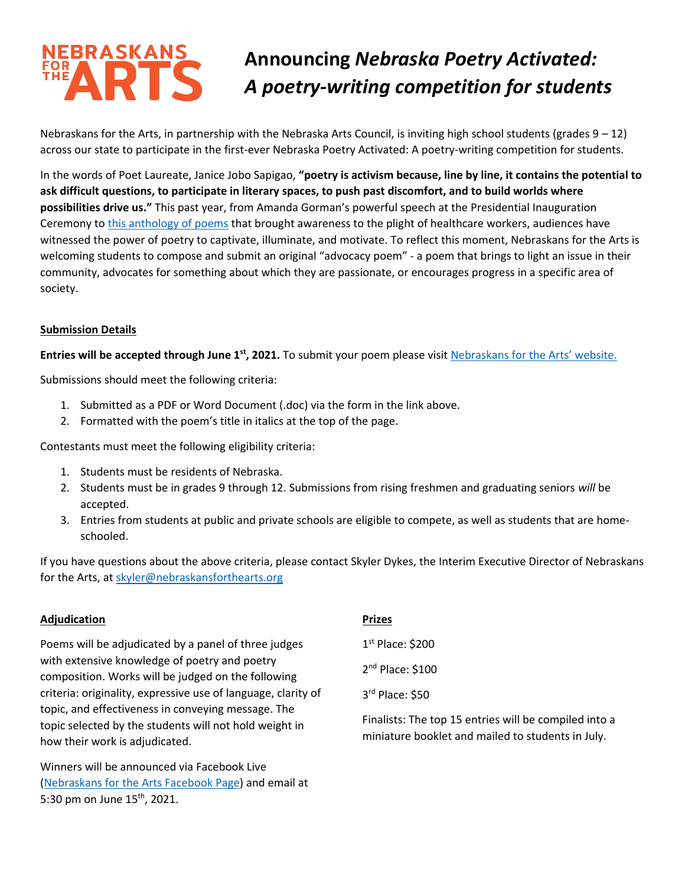# NEBRASKANS **PT**

# **Announcing** *Nebraska Poetry Activated: A poetry-writing competition for students*

Nebraskans for the Arts, in partnership with the Nebraska Arts Council, is inviting high school students (grades 9 – 12) across our state to participate in the first-ever Nebraska Poetry Activated: A poetry-writing competition for students.

In the words of Poet Laureate, Janice Jobo Sapigao, **"poetry is activism because, line by line, it contains the potential to ask difficult questions, to participate in literary spaces, to push past discomfort, and to build worlds where possibilities drive us."** This past year, from Amanda Gorman's powerful speech at the Presidential Inauguration Ceremony to [this anthology of poems](https://www.youtube.com/channel/UCZBaWrMjQvtcVDHIuyRnZgg) that brought awareness to the plight of healthcare workers, audiences have witnessed the power of poetry to captivate, illuminate, and motivate. To reflect this moment, Nebraskans for the Arts is welcoming students to compose and submit an original "advocacy poem" - a poem that brings to light an issue in their community, advocates for something about which they are passionate, or encourages progress in a specific area of society.

## **Submission Details**

**Entries will be accepted through June 1st, 2021.** To submit your poem please visit [Nebraskans for the Arts](https://www.nebraskansforthearts.org/programs/poetry-out-loud/nebraska-poetry-activated-competition/)' website.

Submissions should meet the following criteria:

- 1. Submitted as a PDF or Word Document (.doc) via the form in the link above.
- 2. Formatted with the poem's title in italics at the top of the page.

Contestants must meet the following eligibility criteria:

- 1. Students must be residents of Nebraska.
- 2. Students must be in grades 9 through 12. Submissions from rising freshmen and graduating seniors *will* be accepted.
- 3. Entries from students at public and private schools are eligible to compete, as well as students that are homeschooled.

If you have questions about the above criteria, please contact Skyler Dykes, the Interim Executive Director of Nebraskans for the Arts, at [skyler@nebraskansforthearts.org](mailto:skyler@nebraskansforthearts.org)

#### **Adjudication**

Poems will be adjudicated by a panel of three judges with extensive knowledge of poetry and poetry composition. Works will be judged on the following criteria: originality, expressive use of language, clarity of topic, and effectiveness in conveying message. The topic selected by the students will not hold weight in how their work is adjudicated.

Winners will be announced via Facebook Live [\(Nebraskans for the Arts Facebook Page\)](https://www.facebook.com/nebraskansforthearts) and email at 5:30 pm on June 15<sup>th</sup>, 2021.

# **Prizes**

1 st Place: \$200 2<sup>nd</sup> Place: \$100 3 rd Place: \$50

Finalists: The top 15 entries will be compiled into a miniature booklet and mailed to students in July.